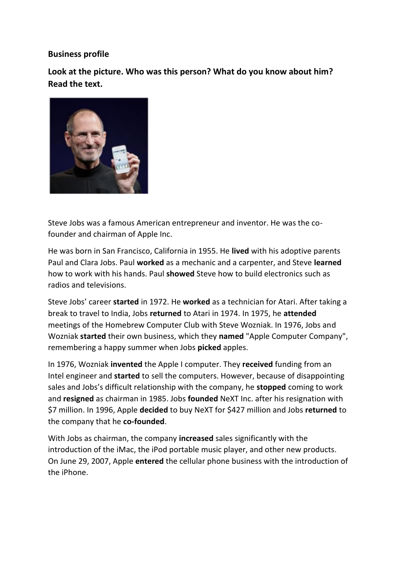## **Business profile**

**Look at the picture. Who was this person? What do you know about him? Read the text.**



Steve Jobs was a famous American entrepreneur and inventor. He was the cofounder and chairman of Apple Inc.

He was born in San Francisco, California in 1955. He **lived** with his adoptive parents Paul and Clara Jobs. Paul **worked** as a mechanic and a carpenter, and Steve **learned** how to work with his hands. Paul **showed** Steve how to build electronics such as radios and televisions.

Steve Jobs' career **started** in 1972. He **worked** as a technician for Atari. After taking a break to travel to India, Jobs **returned** to Atari in 1974. In 1975, he **attended** meetings of the Homebrew Computer Club with Steve Wozniak. In 1976, Jobs and Wozniak **started** their own business, which they **named** "Apple Computer Company", remembering a happy summer when Jobs **picked** apples.

In 1976, Wozniak **invented** the Apple I computer. They **received** funding from an Intel engineer and **started** to sell the computers. However, because of disappointing sales and Jobs's difficult relationship with the company, he **stopped** coming to work and **resigned** as chairman in 1985. Jobs **founded** NeXT Inc. after his resignation with \$7 million. In 1996, Apple **decided** to buy NeXT for \$427 million and Jobs **returned** to the company that he **co-founded**.

With Jobs as chairman, the company **increased** sales significantly with the introduction of the iMac, the iPod portable music player, and other new products. On June 29, 2007, Apple **entered** the cellular phone business with the introduction of the iPhone.